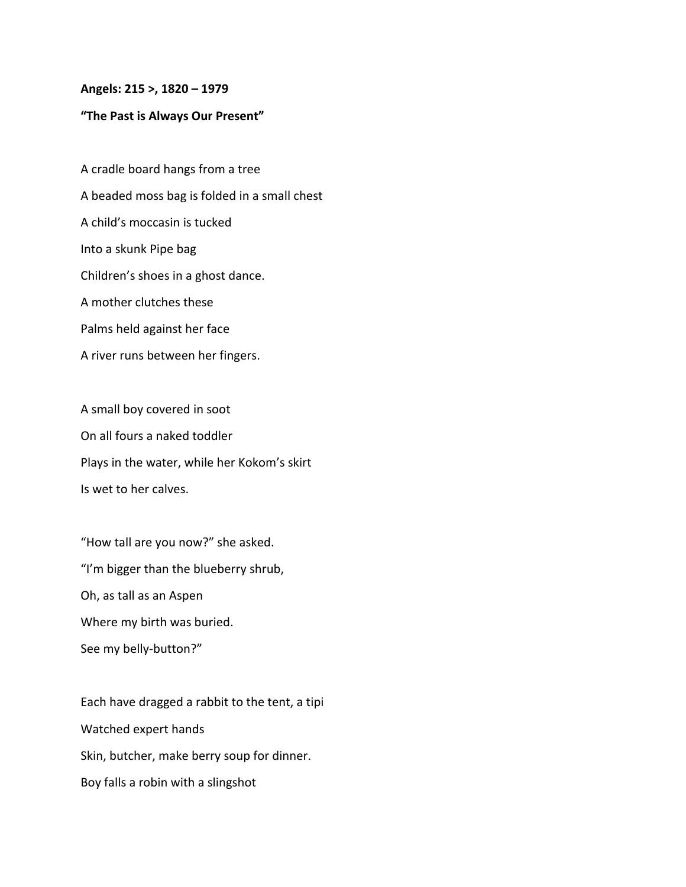## **Angels: 215 >, 1820 – 1979**

## **"The Past is Always Our Present"**

A cradle board hangs from a tree A beaded moss bag is folded in a small chest A child's moccasin is tucked Into a skunk Pipe bag Children's shoes in a ghost dance. A mother clutches these Palms held against her face A river runs between her fingers.

A small boy covered in soot On all fours a naked toddler Plays in the water, while her Kokom's skirt Is wet to her calves.

"How tall are you now?" she asked. "I'm bigger than the blueberry shrub, Oh, as tall as an Aspen Where my birth was buried. See my belly-button?"

Each have dragged a rabbit to the tent, a tipi Watched expert hands Skin, butcher, make berry soup for dinner. Boy falls a robin with a slingshot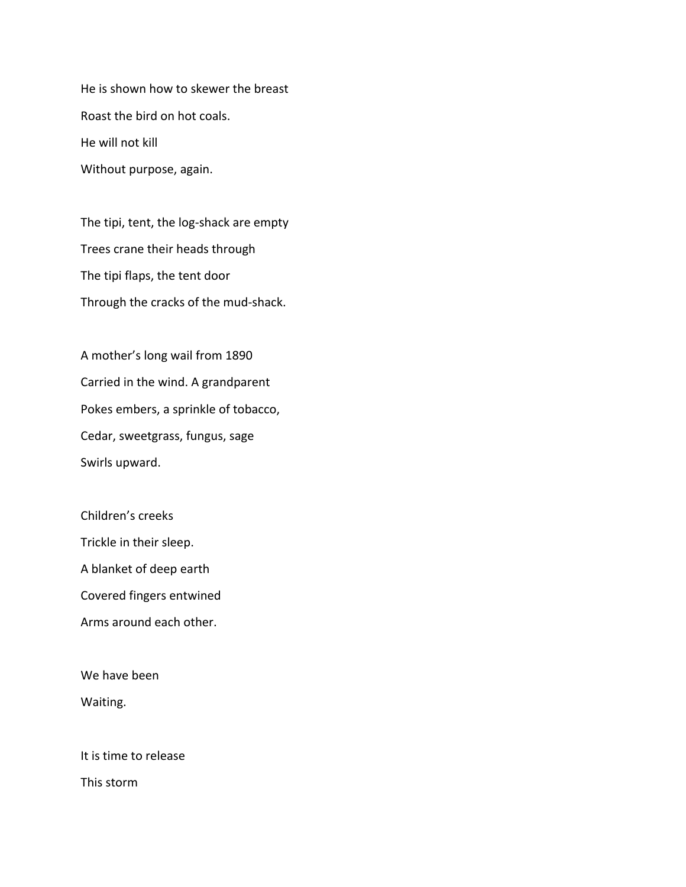He is shown how to skewer the breast Roast the bird on hot coals. He will not kill Without purpose, again.

The tipi, tent, the log-shack are empty Trees crane their heads through The tipi flaps, the tent door Through the cracks of the mud-shack.

A mother's long wail from 1890 Carried in the wind. A grandparent Pokes embers, a sprinkle of tobacco, Cedar, sweetgrass, fungus, sage Swirls upward.

Children's creeks Trickle in their sleep. A blanket of deep earth Covered fingers entwined Arms around each other.

We have been Waiting.

It is time to release This storm